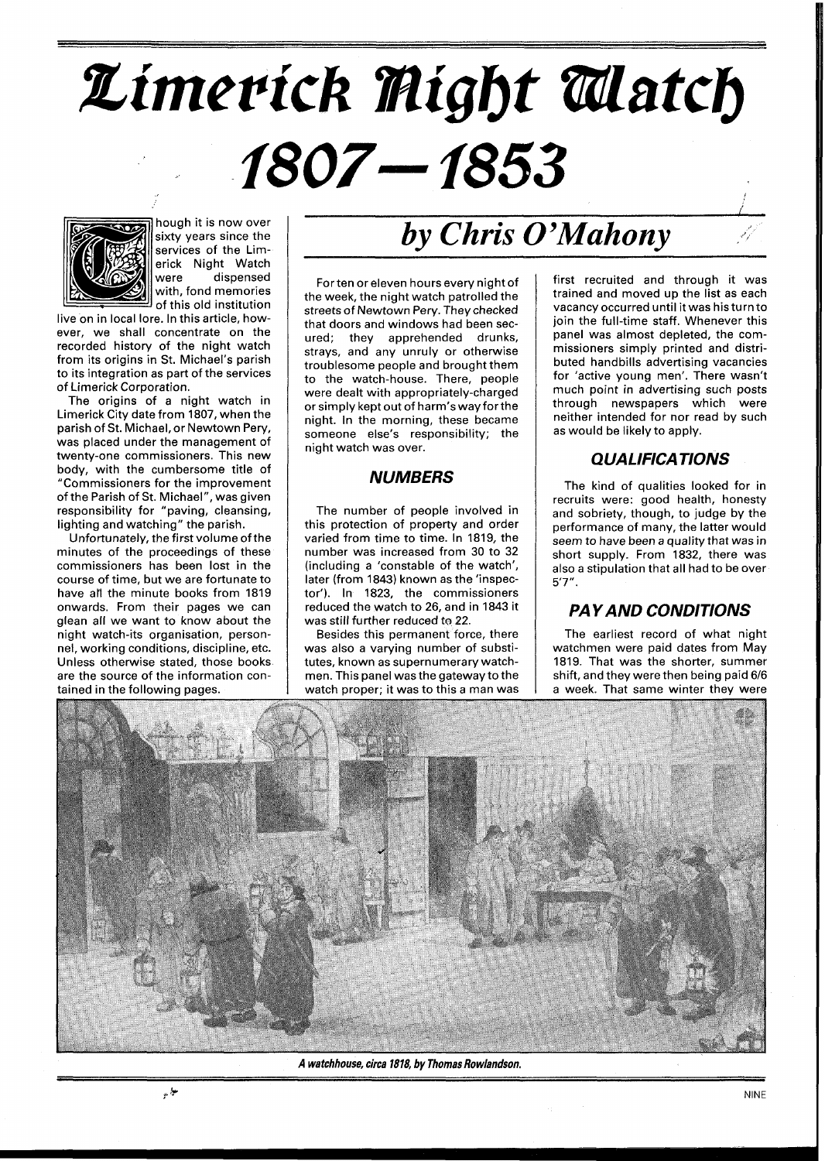# Limerick Might Alatch 1807–1853



hough it is now over sixty years since the services of the Limerick Night Watch were dispensed with, fond memories of this old institution

live on in local lore. In this article, however, we shall concentrate on the recorded history of the night watch from its origins in St. Michael's parish to its integration as part of the services of Limerick Corporation.

The origins of a night watch in Limerick City date from 1807, when the parish of St. Michael, or Newtown Pery, was placed under the management of twenty-one commissioners. This new body, with the cumbersome title of "Commissioners for the improvement of the Parish of St. Michael", was given responsibility for "paving, cleansing, ighting and watching" the parish.

Unfortunately, the first volume of the minutes of the proceedings of these commissioners has been lost in the course of time, but we are fortunate to have all the minute books from 1819 onwards. From their pages we can glean all we want to know about the night watch-its organisation, personnel, working conditions, discipline, etc. Unless otherwise stated, those books are the source of the information contained in the following pages.

# *by Chris O'Mahony*

Forten or eleven hours every night of the week, the night watch patrolled the streets of Newtown Pery. They checked that doors and windows had been secured; they apprehended drunks, strays, and any unruly or otherwise troublesome people and brought them to the watch-house. There, people were dealt with appropriately-charged or simply kept out of harm's way forthe night. In the morning, these became someone else's responsibility; the night watch was over.

#### **NUMBERS**

The number of people involved in this protection of property and order varied from time to time. In 1819, the number was increased from 30 to 32 (including a 'constable of the watch', later (from 1843) known as the 'inspector'). In 1823, the commissioners reduced the watch to 26, and in 1843 it was still further reduced to 22.

Besides this permanent force, there was also a varying number of substitutes, known as supernumerary watchmen. This panel was the gateway to the watch proper; it was to this a man was

first recruited and through it was trained and moved up the list as each vacancy occurred until it was his turn to join the full-time staff. Whenever this panel was almost depleted, the commissioners simply printed and distributed handbills advertising vacancies for 'active young men'. There wasn't much point in advertising such posts through newspapers which were neither intended for nor read by such as would be likely to apply.

## **Q UA LIFICA TIO NS**

The kind of qualities looked for in recruits were: good health, honesty and sobriety, though, to judge by the performance of many, the latter would seem to have been a quality that was in short supply. From 1832, there was also a stipulation that all had to be over 5'7".

#### **PAY AND CONDITIONS**

The earliest record of what night watchmen were paid dates from May 1819. That was the shorter, summer shift, and they were then being paid 6/6 a week. That same winter they were



**A watchhouse, circa 1818, by Thomas Rowlandson.**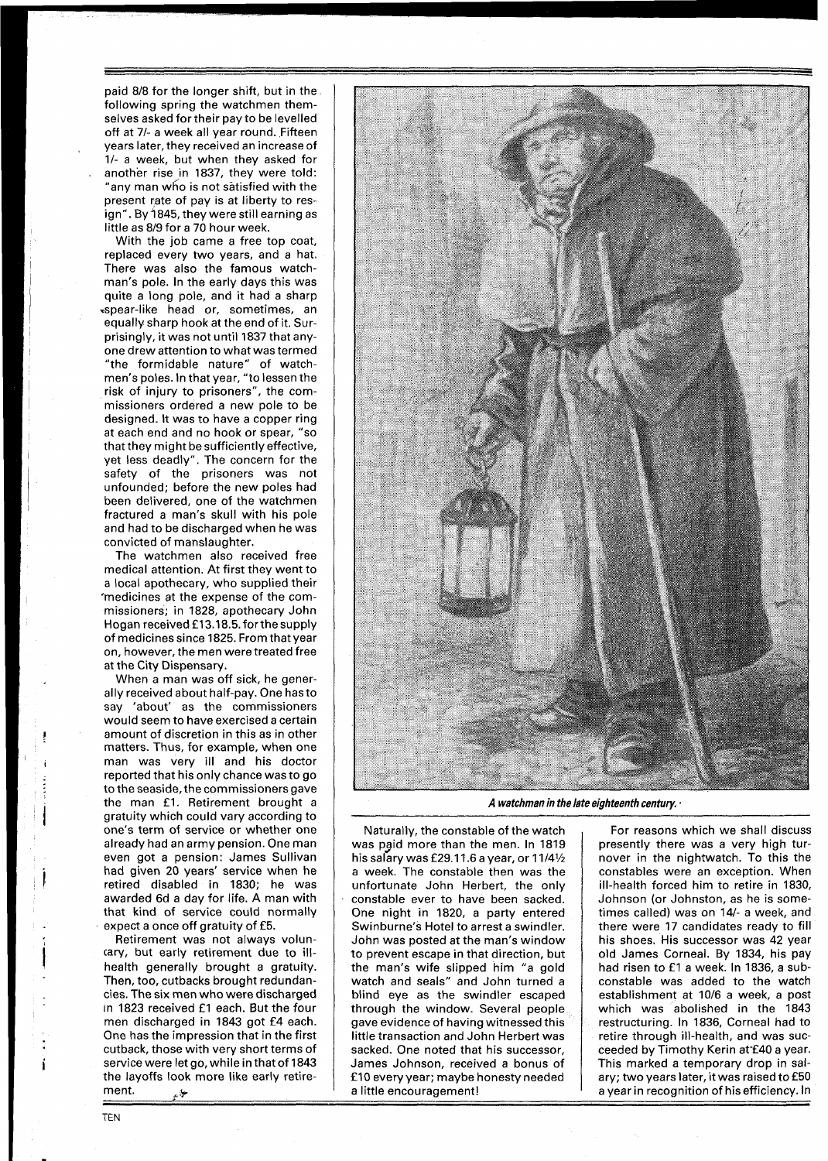paid 818 for the longer shift, but in the following spring the watchmen themselves asked for their pay to be levelled off at 71- a week all year round. Fifteen years later, they received an increase of 11- a week, but when they asked for another rise in 1837, they were told: "any man who is not satisfied with the present rate of pay is at liberty to resign". By 1845, they were still earning as little as 819 for a 70 hour week.

With the job came a free top coat, replaced every two years, and a hat. There was also the famous watchman's pole. In the early days this was quite a long pole, and it had a sharp \*spear-like head or, sometimes, an equally sharp hook at the end of it. Surprisingly, it was not until 1837 that anyone drew attention to what was termed "the formidable nature" of watchmen's poles. In that year, "to lessen the risk of injury to prisoners", the commissioners ordered a new pole to be designed. It was to have a copper ring at each end and no hook or spear, "so that they might be sufficiently effective, yet less deadly". The concern for the safety of the prisoners was not unfounded; before the new poles had been delivered, one of the watchmen fractured a man's skull with his pole and had to be discharged when he was convicted of manslaughter.

The watchmen also received free medical attention. At first they went to a local apothecary, who supplied their \*medicines at the expense of the commissioners; in 1828, apothecary John Hogan received £13.18.5. for the supply of medicines since 1825. From that year on, however, the men were treated free at the City Dispensary.

When a man was off sick, he generally received about half-pay. One hasto say 'about' as the commissioners would seem to have exercised a certain amount of discretion in this as in other matters. Thus, for example, when one man was very ill and his doctor reported that his only chance was to go to the seaside, the commissioners gave the man £1. Retirement brought a gratuity which could vary according to one's term of service or whether one already had an army pension. One man even got a pension: James Sullivan had given 20 years' service when he retired disabled in 1830; he was awarded 6d a day for life. A man with that kind of service could normally expect a once off gratuity of £5.

Retirement was not always voluntary, but early retirement due to illhealth generally brought a gratuity. Then, too, cutbacks brought redundancies. The six men who were discharged In 1823 received £1 each. But the four men discharged in 1843 got £4 each. One has the impression that in the first cutback, those with very short terms of service were let go, while in that of 1843 the layoffs look more like early retire-<br>the layoffs look more like early retire-<br>ment.



A watchman in the late eighteenth century. **•** 

Naturally, the constable of the watch was paid more than the men. In 1819 his salary was £29.11.6 a year, or  $11/4\frac{1}{2}$ a week. The constable then was the unfortunate John Herbert, the only constable ever to have been sacked. One night in 1820, a party entered Swinburne's Hotel to arrest a swindler. John was posted at the man's window to prevent escape in that direction, but the man's wife slipped him "a gold watch and seals" and John turned a blind eye as the swindler escaped through the window. Several people gave evidence of having witnessed this little transaction and John Herbert was sacked. One noted that his successor, James Johnson, received a bonus of f 10 every year; maybe honesty needed a little encouragement!

For reasons which we shall discuss presently there was a very high turnover in the nightwatch. To this the constables were an exception. When ill-health forced him to retire in 1830, Johnson (or Johnston, as he is sometimes called) was on 14/- a week, and there were 17 candidates ready to fill his shoes. His successor was 42 year no shoos. The successor was 42 year.<br>
old James Corneal. By 1834, his pay<br>
had risen to f1 a week. In 1836, a subconstable was added to the watch establishment at 10/6 a week, a post which was abolished in the 1843 restructuring. In 1836, Corneal had to retire through ill-health, and was succeeded by Timothy Kerin at £40 a year. This marked a temporary drop in salary; two years later, it was raised to £50 a year in recognition of hisefficiency. In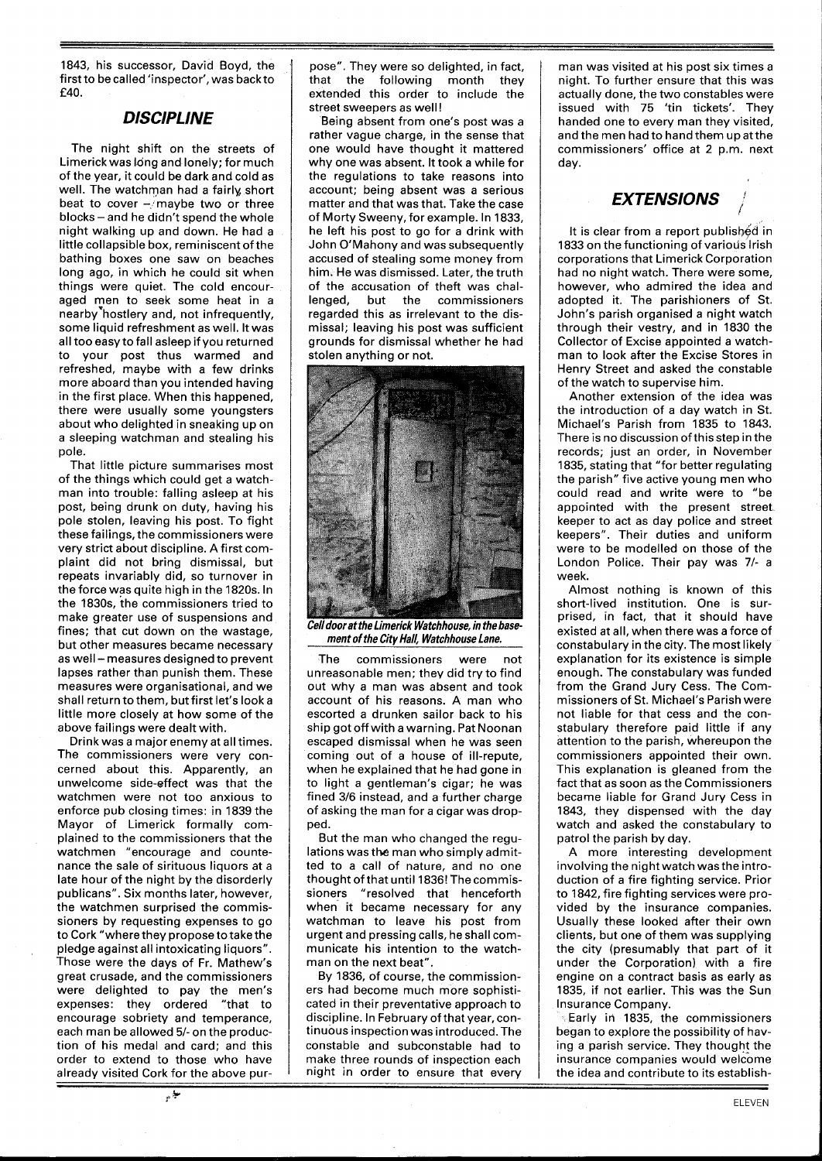1843, his successor, David Boyd, the first to be called 'inspector', was back to £40.

#### **DISCIPLINE**

The night shift on the streets of Limerick was long and lonely; for much of the year, it could be dark and cold as well. The watchman had a fairly short beat to cover  $-\sqrt{n}$ aybe two or three  $blocks - and he didn't spend the whole$ night walking up and down. He had a little collapsible box, reminiscent of the bathing boxes one saw on beaches long ago, in which he could sit when things were quiet. The cold encouraged men to seek some heat in a nearby hostlery and, not infrequently, some liquid refreshment as well. It was all too easy to fall asleep if you returned to your post thus warmed and refreshed, maybe with a few drinks more aboard than you intended having in the first place. When this happened, there were usually some youngsters about who delighted in sneaking up on a sleeping watchman and stealing his pole.

That little picture summarises most of the things which could get a watchman into trouble: falling asleep at his post, being drunk on duty, having his pole stolen, leaving his post. To fight these failings, the commissioners were very strict about discipline. A first complaint did not bring dismissal, but repeats invariably did, so turnover in the force was quite high in the 1820s. In the 1830s, the commissioners tried to make greater use of suspensions and fines; that cut down on the wastage, but other measures became necessary as well - measures designed to prevent lapses rather than punish them. These measures were organisational, and we shall return to them, but first let's look a little more closely at how some of the above failings were dealt with.

Drink was a major enemy at all times. The commissioners were very concerned about this. Apparently, an unwelcome side-effect was that the watchmen were not too anxious to enforce pub closing times: in 1839 the Mayor of Limerick formally complained to the commissioners that the watchmen "encourage and countenance the sale of sirituous liquors at a late hour of the night by the disorderly publicans". Six months later, however, the watchmen surprised the commissioners by requesting expenses to go to Cork "where they propose to take the pledge against all intoxicating liquors". Those were the days of Fr. Mathew's great crusade, and the commissioners were delighted to pay the men's expenses: they ordered "that to encourage sobriety and temperance, each man be allowed 5/- on the production of his medal and card; and this order to extend to those who have already visited Cork for the above pur-

-+

pose". They were so delighted, in fact, that the following month they extended this order to include the street sweepers as well!

Being absent from one's post was a rather vague charge, in the sense that one would have thought it mattered why one was absent. It took a while for the regulations to take reasons into account; being absent was a serious matter and that was that. Take the case of Morty Sweeny, for example. In 1833, he left his post to go for a drink with John O'Mahony and was subsequently accused of stealing some money from him. He was dismissed. Later, the truth of the accusation of theft was challenged, but the commissioners regarded this as irrelevant to the dismissal; leaving his post was sufficient grounds for dismissal whether he had stolen anything or not.



Cell door at the Limerick Watchhouse, in the base**ment of the City Hall, Watchhouse Lane.** 

The commissioners were not unreasonable men; thev did try to find out why a man was absent and took account of his reasons. A man who escorted a drunken sailor back to his ship got off with a warning. Pat Noonan escaped dismissal when he was seen coming out of a house of ill-repute, when he explained that he had gone in to light a gentleman's cigar; he was fined 316 instead, and a further charge of asking the man for a cigar was dropped.

But the man who changed the regulations was **the** man who simply admitted to a call of nature, and no one thought of that until 1836! The commissioners "resolved that henceforth when it became necessary for any watchman to leave his post from urgent and pressing calls, he shall communicate his intention to the watchman on the next beat".

By 1836, of course, the commissioners had become much more sophisticated in their preventative approach to discipline. In February of that year, continuous inspection was introduced. The constable and subconstable had to make three rounds of inspection each night in order to ensure that every

man was visited at his post six times a night. To further ensure that this was actually done, the two constables were issued with 75 'tin tickets'. They handed one to every man they visited, and the men had to hand them up atthe commissioners' office at 2 p.m. next day.

## **EXTENSIONS** )

It is clear from a report published in 1833 on the functioning of various Irish corporations that Limerick Corporation had no night watch. There were some, however, who admired the idea and adopted it. The parishioners of St. John's parish organised a night watch through their vestry, and in 1830 the Collector of Excise appointed a watchman to look after the Excise Stores in Henry Street and asked the constable of the watch to supervise him.

Another extension of the idea was the introduction of a day watch in St. Michael's Parish from 1835 to 1843. There is no discussion of this step in the records; just an order, in November 1835, stating that "for better regulating the parish" five active young men who could read and write were to "be appointed with the present street keeper to act as day police and street keepers". Their duties and uniform were to be modelled on those of the London Police. Their pay was 7/- a week.

Almost nothing is known of this short-lived institution. One is surprised, in fact, that it should have existed at all, when there was a force of constabulary in the city. The most likely explanation for its existence is simple enough. The constabulary was funded from the Grand Jury Cess. The Commissioners of St. Michael's Parish were not liable for that cess and the constabulary therefore paid little if any attention to the parish, whereupon the commissioners appointed their own. This explanation is gleaned from the fact that as soon as the Commissioners became liable for Grand Jury Cess in 1843, they dispensed with the day watch and asked the constabulary to patrol the parish by day.

A more interesting development involving the night watch was the introduction of a fire fighting service. Prior to 1842, fire fighting services were provided by the insurance companies. Usually these looked after their own clients, but one of them was supplying the city (presumably that part of it under the Corporation) with a fire engine on a contract basis as early as 1835, if not earlier. This was the Sun Insurance Company.

Early in 1835, the commissioners began to explore the possibility of having a parish service. They thought the insurance companies would welcome the idea and contribute to its establish-